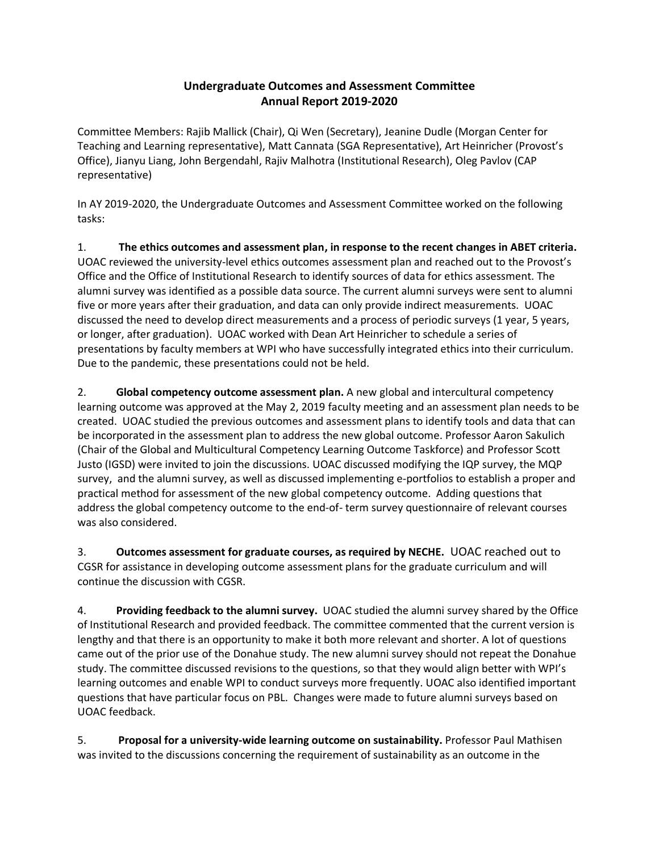## **Undergraduate Outcomes and Assessment Committee Annual Report 2019-2020**

Committee Members: Rajib Mallick (Chair), Qi Wen (Secretary), Jeanine Dudle (Morgan Center for Teaching and Learning representative), Matt Cannata (SGA Representative), Art Heinricher (Provost's Office), Jianyu Liang, John Bergendahl, Rajiv Malhotra (Institutional Research), Oleg Pavlov (CAP representative)

In AY 2019-2020, the Undergraduate Outcomes and Assessment Committee worked on the following tasks:

1. **The ethics outcomes and assessment plan, in response to the recent changes in ABET criteria.** UOAC reviewed the university-level ethics outcomes assessment plan and reached out to the Provost's Office and the Office of Institutional Research to identify sources of data for ethics assessment. The alumni survey was identified as a possible data source. The current alumni surveys were sent to alumni five or more years after their graduation, and data can only provide indirect measurements. UOAC discussed the need to develop direct measurements and a process of periodic surveys (1 year, 5 years, or longer, after graduation). UOAC worked with Dean Art Heinricher to schedule a series of presentations by faculty members at WPI who have successfully integrated ethics into their curriculum. Due to the pandemic, these presentations could not be held.

2. **Global competency outcome assessment plan.** A new global and intercultural competency learning outcome was approved at the May 2, 2019 faculty meeting and an assessment plan needs to be created. UOAC studied the previous outcomes and assessment plans to identify tools and data that can be incorporated in the assessment plan to address the new global outcome. Professor Aaron Sakulich (Chair of the Global and Multicultural Competency Learning Outcome Taskforce) and Professor Scott Justo (IGSD) were invited to join the discussions. UOAC discussed modifying the IQP survey, the MQP survey, and the alumni survey, as well as discussed implementing e-portfolios to establish a proper and practical method for assessment of the new global competency outcome. Adding questions that address the global competency outcome to the end-of- term survey questionnaire of relevant courses was also considered.

3. **Outcomes assessment for graduate courses, as required by NECHE.** UOAC reached out to CGSR for assistance in developing outcome assessment plans for the graduate curriculum and will continue the discussion with CGSR.

4. **Providing feedback to the alumni survey.** UOAC studied the alumni survey shared by the Office of Institutional Research and provided feedback. The committee commented that the current version is lengthy and that there is an opportunity to make it both more relevant and shorter. A lot of questions came out of the prior use of the Donahue study. The new alumni survey should not repeat the Donahue study. The committee discussed revisions to the questions, so that they would align better with WPI's learning outcomes and enable WPI to conduct surveys more frequently. UOAC also identified important questions that have particular focus on PBL. Changes were made to future alumni surveys based on UOAC feedback.

5. **Proposal for a university-wide learning outcome on sustainability.** Professor Paul Mathisen was invited to the discussions concerning the requirement of sustainability as an outcome in the